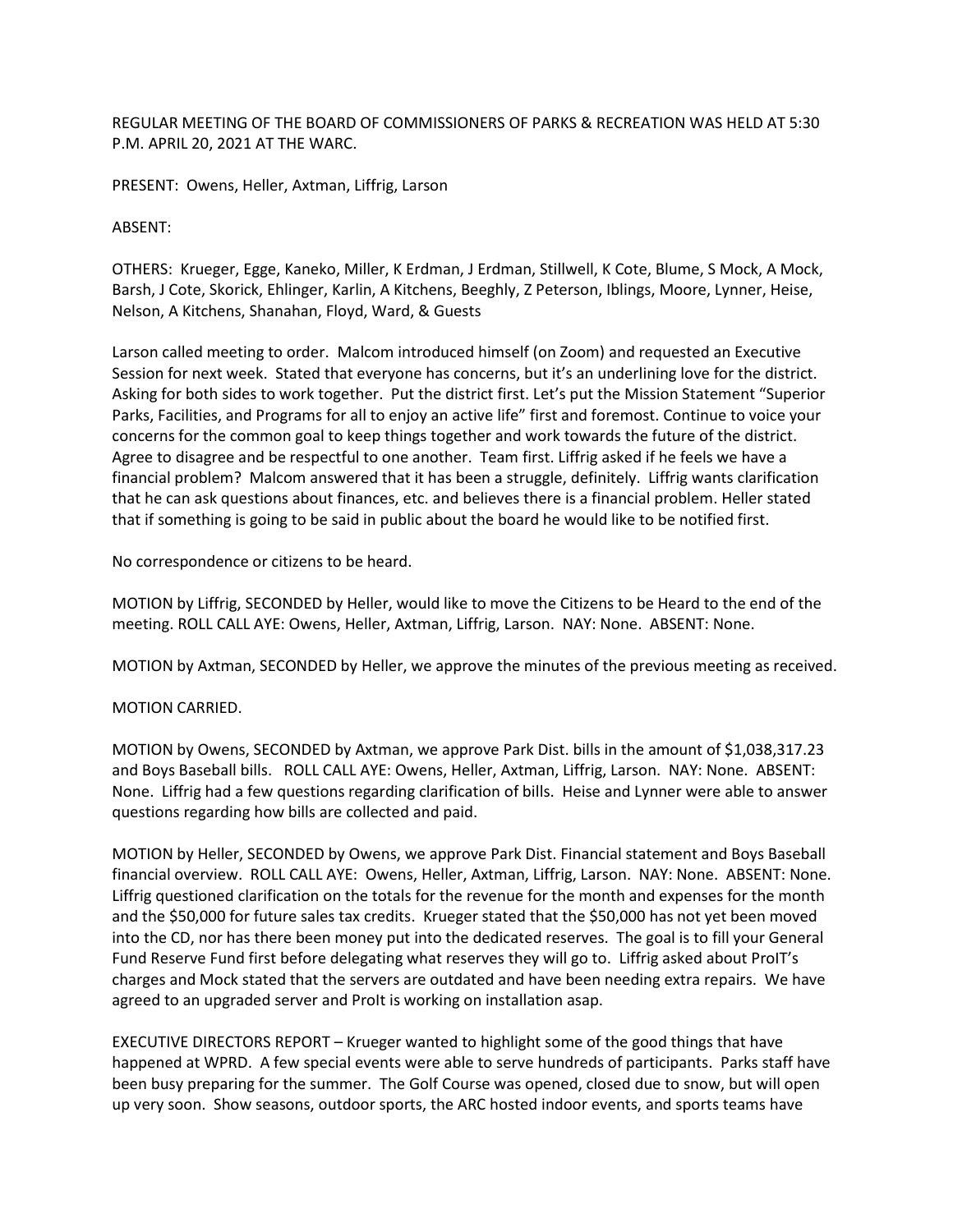REGULAR MEETING OF THE BOARD OF COMMISSIONERS OF PARKS & RECREATION WAS HELD AT 5:30 P.M. APRIL 20, 2021 AT THE WARC.

PRESENT: Owens, Heller, Axtman, Liffrig, Larson

#### ABSENT:

OTHERS: Krueger, Egge, Kaneko, Miller, K Erdman, J Erdman, Stillwell, K Cote, Blume, S Mock, A Mock, Barsh, J Cote, Skorick, Ehlinger, Karlin, A Kitchens, Beeghly, Z Peterson, Iblings, Moore, Lynner, Heise, Nelson, A Kitchens, Shanahan, Floyd, Ward, & Guests

Larson called meeting to order. Malcom introduced himself (on Zoom) and requested an Executive Session for next week. Stated that everyone has concerns, but it's an underlining love for the district. Asking for both sides to work together. Put the district first. Let's put the Mission Statement "Superior Parks, Facilities, and Programs for all to enjoy an active life" first and foremost. Continue to voice your concerns for the common goal to keep things together and work towards the future of the district. Agree to disagree and be respectful to one another. Team first. Liffrig asked if he feels we have a financial problem? Malcom answered that it has been a struggle, definitely. Liffrig wants clarification that he can ask questions about finances, etc. and believes there is a financial problem. Heller stated that if something is going to be said in public about the board he would like to be notified first.

No correspondence or citizens to be heard.

MOTION by Liffrig, SECONDED by Heller, would like to move the Citizens to be Heard to the end of the meeting. ROLL CALL AYE: Owens, Heller, Axtman, Liffrig, Larson. NAY: None. ABSENT: None.

MOTION by Axtman, SECONDED by Heller, we approve the minutes of the previous meeting as received.

### MOTION CARRIED.

MOTION by Owens, SECONDED by Axtman, we approve Park Dist. bills in the amount of \$1,038,317.23 and Boys Baseball bills. ROLL CALL AYE: Owens, Heller, Axtman, Liffrig, Larson. NAY: None. ABSENT: None. Liffrig had a few questions regarding clarification of bills. Heise and Lynner were able to answer questions regarding how bills are collected and paid.

MOTION by Heller, SECONDED by Owens, we approve Park Dist. Financial statement and Boys Baseball financial overview. ROLL CALL AYE: Owens, Heller, Axtman, Liffrig, Larson. NAY: None. ABSENT: None. Liffrig questioned clarification on the totals for the revenue for the month and expenses for the month and the \$50,000 for future sales tax credits. Krueger stated that the \$50,000 has not yet been moved into the CD, nor has there been money put into the dedicated reserves. The goal is to fill your General Fund Reserve Fund first before delegating what reserves they will go to. Liffrig asked about ProIT's charges and Mock stated that the servers are outdated and have been needing extra repairs. We have agreed to an upgraded server and ProIt is working on installation asap.

EXECUTIVE DIRECTORS REPORT – Krueger wanted to highlight some of the good things that have happened at WPRD. A few special events were able to serve hundreds of participants. Parks staff have been busy preparing for the summer. The Golf Course was opened, closed due to snow, but will open up very soon. Show seasons, outdoor sports, the ARC hosted indoor events, and sports teams have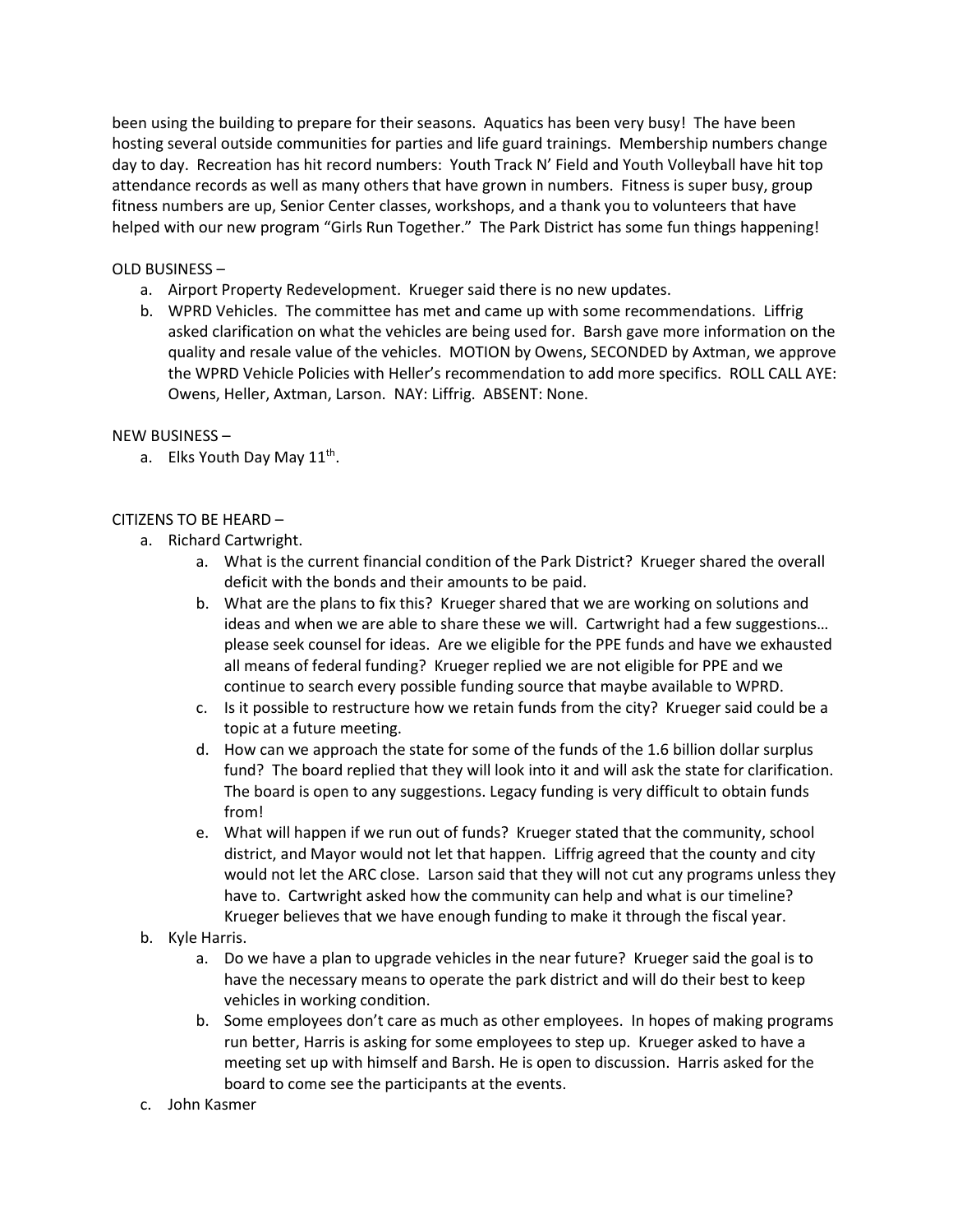been using the building to prepare for their seasons. Aquatics has been very busy! The have been hosting several outside communities for parties and life guard trainings. Membership numbers change day to day. Recreation has hit record numbers: Youth Track N' Field and Youth Volleyball have hit top attendance records as well as many others that have grown in numbers. Fitness is super busy, group fitness numbers are up, Senior Center classes, workshops, and a thank you to volunteers that have helped with our new program "Girls Run Together." The Park District has some fun things happening!

## OLD BUSINESS –

- a. Airport Property Redevelopment. Krueger said there is no new updates.
- b. WPRD Vehicles. The committee has met and came up with some recommendations. Liffrig asked clarification on what the vehicles are being used for. Barsh gave more information on the quality and resale value of the vehicles. MOTION by Owens, SECONDED by Axtman, we approve the WPRD Vehicle Policies with Heller's recommendation to add more specifics. ROLL CALL AYE: Owens, Heller, Axtman, Larson. NAY: Liffrig. ABSENT: None.

### NEW BUSINESS –

a. Elks Youth Day May 11<sup>th</sup>.

# CITIZENS TO BE HEARD –

- a. Richard Cartwright.
	- a. What is the current financial condition of the Park District? Krueger shared the overall deficit with the bonds and their amounts to be paid.
	- b. What are the plans to fix this? Krueger shared that we are working on solutions and ideas and when we are able to share these we will. Cartwright had a few suggestions… please seek counsel for ideas. Are we eligible for the PPE funds and have we exhausted all means of federal funding? Krueger replied we are not eligible for PPE and we continue to search every possible funding source that maybe available to WPRD.
	- c. Is it possible to restructure how we retain funds from the city? Krueger said could be a topic at a future meeting.
	- d. How can we approach the state for some of the funds of the 1.6 billion dollar surplus fund? The board replied that they will look into it and will ask the state for clarification. The board is open to any suggestions. Legacy funding is very difficult to obtain funds from!
	- e. What will happen if we run out of funds? Krueger stated that the community, school district, and Mayor would not let that happen. Liffrig agreed that the county and city would not let the ARC close. Larson said that they will not cut any programs unless they have to. Cartwright asked how the community can help and what is our timeline? Krueger believes that we have enough funding to make it through the fiscal year.
- b. Kyle Harris.
	- a. Do we have a plan to upgrade vehicles in the near future? Krueger said the goal is to have the necessary means to operate the park district and will do their best to keep vehicles in working condition.
	- b. Some employees don't care as much as other employees. In hopes of making programs run better, Harris is asking for some employees to step up. Krueger asked to have a meeting set up with himself and Barsh. He is open to discussion. Harris asked for the board to come see the participants at the events.
- c. John Kasmer